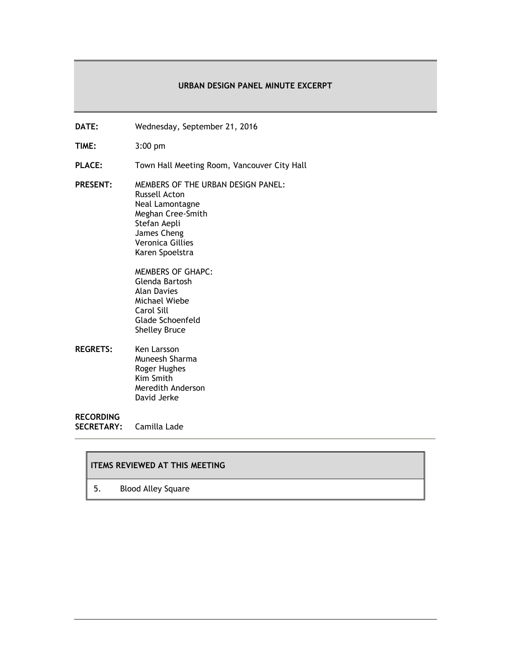#### **URBAN DESIGN PANEL MINUTE EXCERPT**

- **DATE:** Wednesday, September 21, 2016
- **TIME:** 3:00 pm
- PLACE: Town Hall Meeting Room, Vancouver City Hall
- **PRESENT:** MEMBERS OF THE URBAN DESIGN PANEL: Russell Acton Neal Lamontagne Meghan Cree-Smith Stefan Aepli James Cheng Veronica Gillies Karen Spoelstra

MEMBERS OF GHAPC: Glenda Bartosh Alan Davies Michael Wiebe Carol Sill Glade Schoenfeld Shelley Bruce

**REGRETS:** Ken Larsson Muneesh Sharma Roger Hughes Kim Smith Meredith Anderson David Jerke

## **RECORDING**

**SECRETARY:** Camilla Lade

# **ITEMS REVIEWED AT THIS MEETING**

5. Blood Alley Square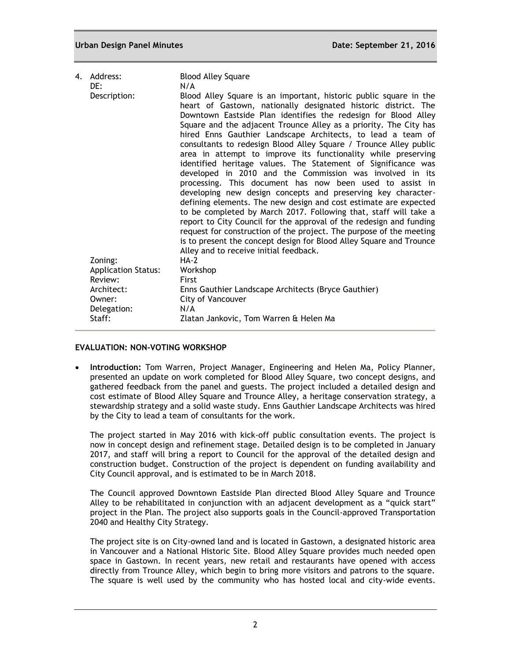#### **Urban Design Panel Minutes Date: September 21, 2016**

| 4. Address:<br>DE:         | <b>Blood Alley Square</b><br>N/A                                                                                                                                                                                                                                                                                                                                                                                                                                                                                                                                                                                                                                                                                                                                                                                                                                                                                                                                                                                                                                                                                                                |
|----------------------------|-------------------------------------------------------------------------------------------------------------------------------------------------------------------------------------------------------------------------------------------------------------------------------------------------------------------------------------------------------------------------------------------------------------------------------------------------------------------------------------------------------------------------------------------------------------------------------------------------------------------------------------------------------------------------------------------------------------------------------------------------------------------------------------------------------------------------------------------------------------------------------------------------------------------------------------------------------------------------------------------------------------------------------------------------------------------------------------------------------------------------------------------------|
| Description:               | Blood Alley Square is an important, historic public square in the<br>heart of Gastown, nationally designated historic district. The<br>Downtown Eastside Plan identifies the redesign for Blood Alley<br>Square and the adjacent Trounce Alley as a priority. The City has<br>hired Enns Gauthier Landscape Architects, to lead a team of<br>consultants to redesign Blood Alley Square / Trounce Alley public<br>area in attempt to improve its functionality while preserving<br>identified heritage values. The Statement of Significance was<br>developed in 2010 and the Commission was involved in its<br>processing. This document has now been used to assist in<br>developing new design concepts and preserving key character-<br>defining elements. The new design and cost estimate are expected<br>to be completed by March 2017. Following that, staff will take a<br>report to City Council for the approval of the redesign and funding<br>request for construction of the project. The purpose of the meeting<br>is to present the concept design for Blood Alley Square and Trounce<br>Alley and to receive initial feedback. |
| Zoning:                    | <b>HA-2</b>                                                                                                                                                                                                                                                                                                                                                                                                                                                                                                                                                                                                                                                                                                                                                                                                                                                                                                                                                                                                                                                                                                                                     |
| <b>Application Status:</b> | Workshop                                                                                                                                                                                                                                                                                                                                                                                                                                                                                                                                                                                                                                                                                                                                                                                                                                                                                                                                                                                                                                                                                                                                        |
| Review:<br>Architect:      | First<br>Enns Gauthier Landscape Architects (Bryce Gauthier)                                                                                                                                                                                                                                                                                                                                                                                                                                                                                                                                                                                                                                                                                                                                                                                                                                                                                                                                                                                                                                                                                    |
| Owner:                     | City of Vancouver                                                                                                                                                                                                                                                                                                                                                                                                                                                                                                                                                                                                                                                                                                                                                                                                                                                                                                                                                                                                                                                                                                                               |
| Delegation:                | N/A                                                                                                                                                                                                                                                                                                                                                                                                                                                                                                                                                                                                                                                                                                                                                                                                                                                                                                                                                                                                                                                                                                                                             |
| Staff:                     | Zlatan Jankovic, Tom Warren & Helen Ma                                                                                                                                                                                                                                                                                                                                                                                                                                                                                                                                                                                                                                                                                                                                                                                                                                                                                                                                                                                                                                                                                                          |
|                            |                                                                                                                                                                                                                                                                                                                                                                                                                                                                                                                                                                                                                                                                                                                                                                                                                                                                                                                                                                                                                                                                                                                                                 |

## **EVALUATION: NON-VOTING WORKSHOP**

 **Introduction:** Tom Warren, Project Manager, Engineering and Helen Ma, Policy Planner, presented an update on work completed for Blood Alley Square, two concept designs, and gathered feedback from the panel and guests. The project included a detailed design and cost estimate of Blood Alley Square and Trounce Alley, a heritage conservation strategy, a stewardship strategy and a solid waste study. Enns Gauthier Landscape Architects was hired by the City to lead a team of consultants for the work.

The project started in May 2016 with kick-off public consultation events. The project is now in concept design and refinement stage. Detailed design is to be completed in January 2017, and staff will bring a report to Council for the approval of the detailed design and construction budget. Construction of the project is dependent on funding availability and City Council approval, and is estimated to be in March 2018.

The Council approved Downtown Eastside Plan directed Blood Alley Square and Trounce Alley to be rehabilitated in conjunction with an adjacent development as a "quick start" project in the Plan. The project also supports goals in the Council-approved Transportation 2040 and Healthy City Strategy.

The project site is on City-owned land and is located in Gastown, a designated historic area in Vancouver and a National Historic Site. Blood Alley Square provides much needed open space in Gastown. In recent years, new retail and restaurants have opened with access directly from Trounce Alley, which begin to bring more visitors and patrons to the square. The square is well used by the community who has hosted local and city-wide events.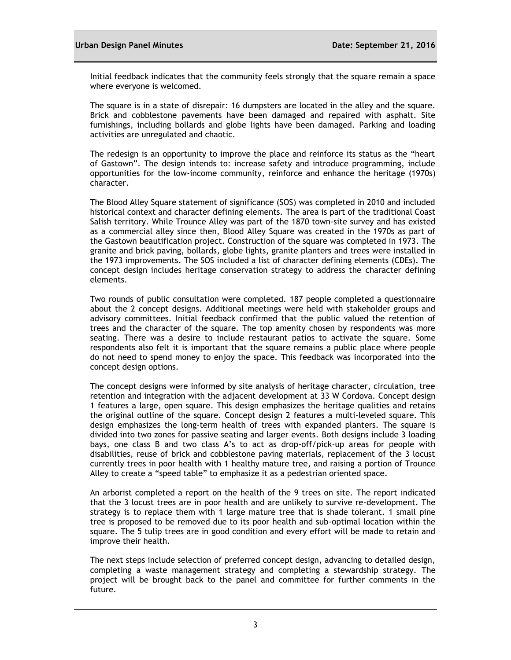Initial feedback indicates that the community feels strongly that the square remain a space where everyone is welcomed.

The square is in a state of disrepair: 16 dumpsters are located in the alley and the square. Brick and cobblestone pavements have been damaged and repaired with asphalt. Site furnishings, including bollards and globe lights have been damaged. Parking and loading activities are unregulated and chaotic.

The redesign is an opportunity to improve the place and reinforce its status as the "heart of Gastown". The design intends to: increase safety and introduce programming, include opportunities for the low-income community, reinforce and enhance the heritage (1970s) character.

The Blood Alley Square statement of significance (SOS) was completed in 2010 and included historical context and character defining elements. The area is part of the traditional Coast Salish territory. While Trounce Alley was part of the 1870 town-site survey and has existed as a commercial alley since then, Blood Alley Square was created in the 1970s as part of the Gastown beautification project. Construction of the square was completed in 1973. The granite and brick paving, bollards, globe lights, granite planters and trees were installed in the 1973 improvements. The SOS included a list of character defining elements (CDEs). The concept design includes heritage conservation strategy to address the character defining elements.

Two rounds of public consultation were completed. 187 people completed a questionnaire about the 2 concept designs. Additional meetings were held with stakeholder groups and advisory committees. Initial feedback confirmed that the public valued the retention of trees and the character of the square. The top amenity chosen by respondents was more seating. There was a desire to include restaurant patios to activate the square. Some respondents also felt it is important that the square remains a public place where people do not need to spend money to enjoy the space. This feedback was incorporated into the concept design options.

The concept designs were informed by site analysis of heritage character, circulation, tree retention and integration with the adjacent development at 33 W Cordova. Concept design 1 features a large, open square. This design emphasizes the heritage qualities and retains the original outline of the square. Concept design 2 features a multi-leveled square. This design emphasizes the long-term health of trees with expanded planters. The square is divided into two zones for passive seating and larger events. Both designs include 3 loading bays, one class B and two class A's to act as drop-off/pick-up areas for people with disabilities, reuse of brick and cobblestone paving materials, replacement of the 3 locust currently trees in poor health with 1 healthy mature tree, and raising a portion of Trounce Alley to create a "speed table" to emphasize it as a pedestrian oriented space.

An arborist completed a report on the health of the 9 trees on site. The report indicated that the 3 locust trees are in poor health and are unlikely to survive re-development. The strategy is to replace them with 1 large mature tree that is shade tolerant. 1 small pine tree is proposed to be removed due to its poor health and sub-optimal location within the square. The 5 tulip trees are in good condition and every effort will be made to retain and improve their health.

The next steps include selection of preferred concept design, advancing to detailed design, completing a waste management strategy and completing a stewardship strategy. The project will be brought back to the panel and committee for further comments in the future.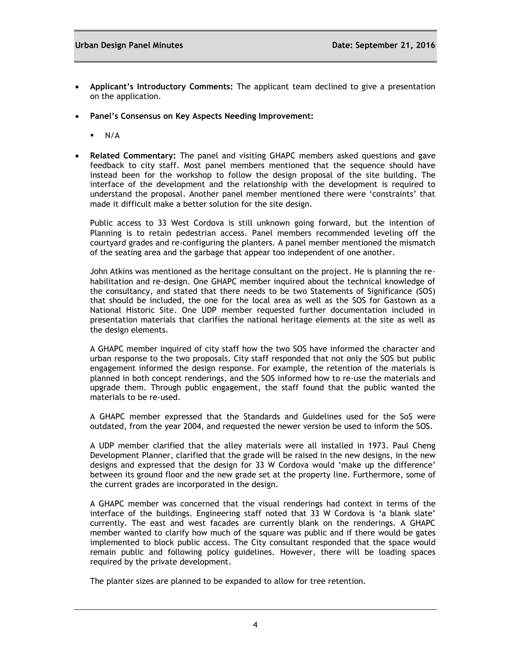- **Applicant's Introductory Comments:** The applicant team declined to give a presentation on the application.
- **Panel's Consensus on Key Aspects Needing Improvement:**
	- $N/A$
- **Related Commentary:** The panel and visiting GHAPC members asked questions and gave feedback to city staff. Most panel members mentioned that the sequence should have instead been for the workshop to follow the design proposal of the site building. The interface of the development and the relationship with the development is required to understand the proposal. Another panel member mentioned there were 'constraints' that made it difficult make a better solution for the site design.

Public access to 33 West Cordova is still unknown going forward, but the intention of Planning is to retain pedestrian access. Panel members recommended leveling off the courtyard grades and re-configuring the planters. A panel member mentioned the mismatch of the seating area and the garbage that appear too independent of one another.

John Atkins was mentioned as the heritage consultant on the project. He is planning the rehabilitation and re-design. One GHAPC member inquired about the technical knowledge of the consultancy, and stated that there needs to be two Statements of Significance (SOS) that should be included, the one for the local area as well as the SOS for Gastown as a National Historic Site. One UDP member requested further documentation included in presentation materials that clarifies the national heritage elements at the site as well as the design elements.

A GHAPC member inquired of city staff how the two SOS have informed the character and urban response to the two proposals. City staff responded that not only the SOS but public engagement informed the design response. For example, the retention of the materials is planned in both concept renderings, and the SOS informed how to re-use the materials and upgrade them. Through public engagement, the staff found that the public wanted the materials to be re-used.

A GHAPC member expressed that the Standards and Guidelines used for the SoS were outdated, from the year 2004, and requested the newer version be used to inform the SOS.

A UDP member clarified that the alley materials were all installed in 1973. Paul Cheng Development Planner, clarified that the grade will be raised in the new designs, in the new designs and expressed that the design for 33 W Cordova would 'make up the difference' between its ground floor and the new grade set at the property line. Furthermore, some of the current grades are incorporated in the design.

A GHAPC member was concerned that the visual renderings had context in terms of the interface of the buildings. Engineering staff noted that 33 W Cordova is 'a blank slate' currently. The east and west facades are currently blank on the renderings. A GHAPC member wanted to clarify how much of the square was public and if there would be gates implemented to block public access. The City consultant responded that the space would remain public and following policy guidelines. However, there will be loading spaces required by the private development.

The planter sizes are planned to be expanded to allow for tree retention.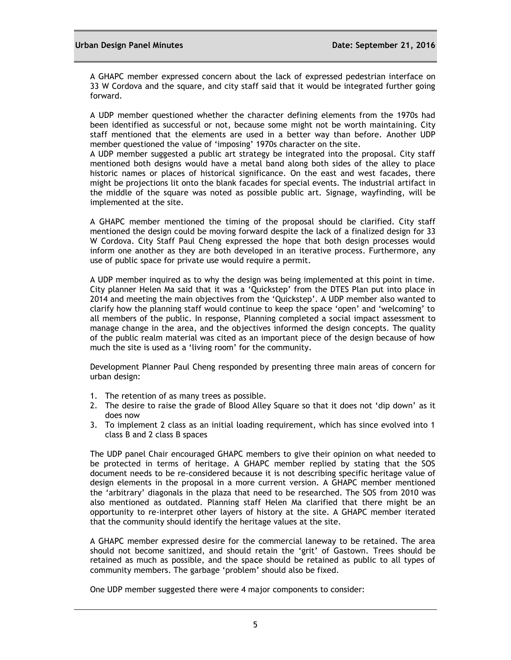A GHAPC member expressed concern about the lack of expressed pedestrian interface on 33 W Cordova and the square, and city staff said that it would be integrated further going forward.

A UDP member questioned whether the character defining elements from the 1970s had been identified as successful or not, because some might not be worth maintaining. City staff mentioned that the elements are used in a better way than before. Another UDP member questioned the value of 'imposing' 1970s character on the site.

A UDP member suggested a public art strategy be integrated into the proposal. City staff mentioned both designs would have a metal band along both sides of the alley to place historic names or places of historical significance. On the east and west facades, there might be projections lit onto the blank facades for special events. The industrial artifact in the middle of the square was noted as possible public art. Signage, wayfinding, will be implemented at the site.

A GHAPC member mentioned the timing of the proposal should be clarified. City staff mentioned the design could be moving forward despite the lack of a finalized design for 33 W Cordova. City Staff Paul Cheng expressed the hope that both design processes would inform one another as they are both developed in an iterative process. Furthermore, any use of public space for private use would require a permit.

A UDP member inquired as to why the design was being implemented at this point in time. City planner Helen Ma said that it was a 'Quickstep' from the DTES Plan put into place in 2014 and meeting the main objectives from the 'Quickstep'. A UDP member also wanted to clarify how the planning staff would continue to keep the space 'open' and 'welcoming' to all members of the public. In response, Planning completed a social impact assessment to manage change in the area, and the objectives informed the design concepts. The quality of the public realm material was cited as an important piece of the design because of how much the site is used as a 'living room' for the community.

Development Planner Paul Cheng responded by presenting three main areas of concern for urban design:

- 1. The retention of as many trees as possible.
- 2. The desire to raise the grade of Blood Alley Square so that it does not 'dip down' as it does now
- 3. To implement 2 class as an initial loading requirement, which has since evolved into 1 class B and 2 class B spaces

The UDP panel Chair encouraged GHAPC members to give their opinion on what needed to be protected in terms of heritage. A GHAPC member replied by stating that the SOS document needs to be re-considered because it is not describing specific heritage value of design elements in the proposal in a more current version. A GHAPC member mentioned the 'arbitrary' diagonals in the plaza that need to be researched. The SOS from 2010 was also mentioned as outdated. Planning staff Helen Ma clarified that there might be an opportunity to re-interpret other layers of history at the site. A GHAPC member iterated that the community should identify the heritage values at the site.

A GHAPC member expressed desire for the commercial laneway to be retained. The area should not become sanitized, and should retain the 'grit' of Gastown. Trees should be retained as much as possible, and the spa**c**e should be retained as public to all types of community members. The garbage 'problem' should also be fixed.

One UDP member suggested there were 4 major components to consider: